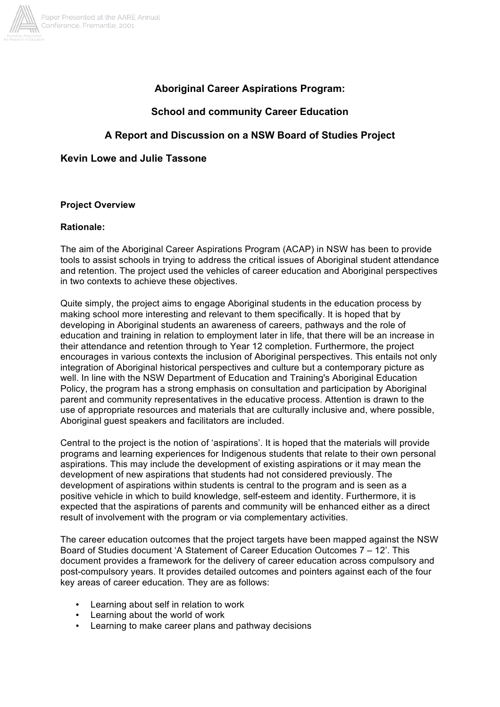

# **Aboriginal Career Aspirations Program:**

# **School and community Career Education**

# **A Report and Discussion on a NSW Board of Studies Project**

## **Kevin Lowe and Julie Tassone**

### **Project Overview**

### **Rationale:**

The aim of the Aboriginal Career Aspirations Program (ACAP) in NSW has been to provide tools to assist schools in trying to address the critical issues of Aboriginal student attendance and retention. The project used the vehicles of career education and Aboriginal perspectives in two contexts to achieve these objectives.

Quite simply, the project aims to engage Aboriginal students in the education process by making school more interesting and relevant to them specifically. It is hoped that by developing in Aboriginal students an awareness of careers, pathways and the role of education and training in relation to employment later in life, that there will be an increase in their attendance and retention through to Year 12 completion. Furthermore, the project encourages in various contexts the inclusion of Aboriginal perspectives. This entails not only integration of Aboriginal historical perspectives and culture but a contemporary picture as well. In line with the NSW Department of Education and Training's Aboriginal Education Policy, the program has a strong emphasis on consultation and participation by Aboriginal parent and community representatives in the educative process. Attention is drawn to the use of appropriate resources and materials that are culturally inclusive and, where possible, Aboriginal guest speakers and facilitators are included.

Central to the project is the notion of 'aspirations'. It is hoped that the materials will provide programs and learning experiences for Indigenous students that relate to their own personal aspirations. This may include the development of existing aspirations or it may mean the development of new aspirations that students had not considered previously. The development of aspirations within students is central to the program and is seen as a positive vehicle in which to build knowledge, self-esteem and identity. Furthermore, it is expected that the aspirations of parents and community will be enhanced either as a direct result of involvement with the program or via complementary activities.

The career education outcomes that the project targets have been mapped against the NSW Board of Studies document 'A Statement of Career Education Outcomes 7 – 12'. This document provides a framework for the delivery of career education across compulsory and post-compulsory years. It provides detailed outcomes and pointers against each of the four key areas of career education. They are as follows:

- Learning about self in relation to work
- Learning about the world of work
- Learning to make career plans and pathway decisions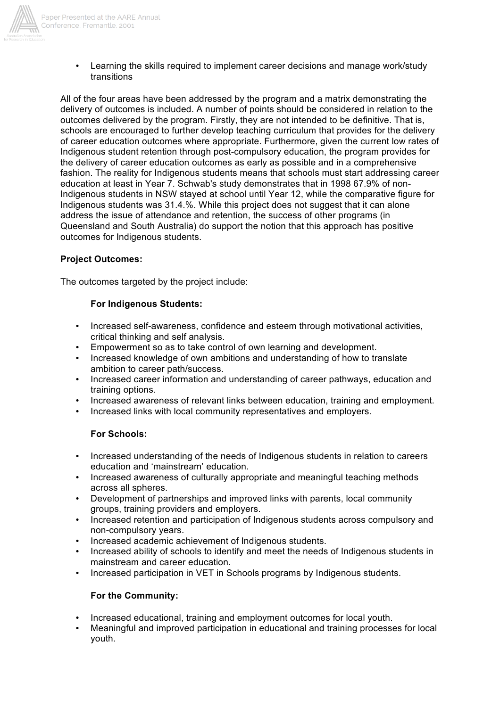

• Learning the skills required to implement career decisions and manage work/study transitions

All of the four areas have been addressed by the program and a matrix demonstrating the delivery of outcomes is included. A number of points should be considered in relation to the outcomes delivered by the program. Firstly, they are not intended to be definitive. That is, schools are encouraged to further develop teaching curriculum that provides for the delivery of career education outcomes where appropriate. Furthermore, given the current low rates of Indigenous student retention through post-compulsory education, the program provides for the delivery of career education outcomes as early as possible and in a comprehensive fashion. The reality for Indigenous students means that schools must start addressing career education at least in Year 7. Schwab's study demonstrates that in 1998 67.9% of non-Indigenous students in NSW stayed at school until Year 12, while the comparative figure for Indigenous students was 31.4.%. While this project does not suggest that it can alone address the issue of attendance and retention, the success of other programs (in Queensland and South Australia) do support the notion that this approach has positive outcomes for Indigenous students.

### **Project Outcomes:**

The outcomes targeted by the project include:

### **For Indigenous Students:**

- Increased self-awareness, confidence and esteem through motivational activities, critical thinking and self analysis.
- Empowerment so as to take control of own learning and development.
- Increased knowledge of own ambitions and understanding of how to translate ambition to career path/success.
- Increased career information and understanding of career pathways, education and training options.
- Increased awareness of relevant links between education, training and employment.
- Increased links with local community representatives and employers.

### **For Schools:**

- Increased understanding of the needs of Indigenous students in relation to careers education and 'mainstream' education.
- Increased awareness of culturally appropriate and meaningful teaching methods across all spheres.
- Development of partnerships and improved links with parents, local community groups, training providers and employers.
- Increased retention and participation of Indigenous students across compulsory and non-compulsory years.
- Increased academic achievement of Indigenous students.
- Increased ability of schools to identify and meet the needs of Indigenous students in mainstream and career education.
- Increased participation in VET in Schools programs by Indigenous students.

### **For the Community:**

- Increased educational, training and employment outcomes for local youth.
- Meaningful and improved participation in educational and training processes for local youth.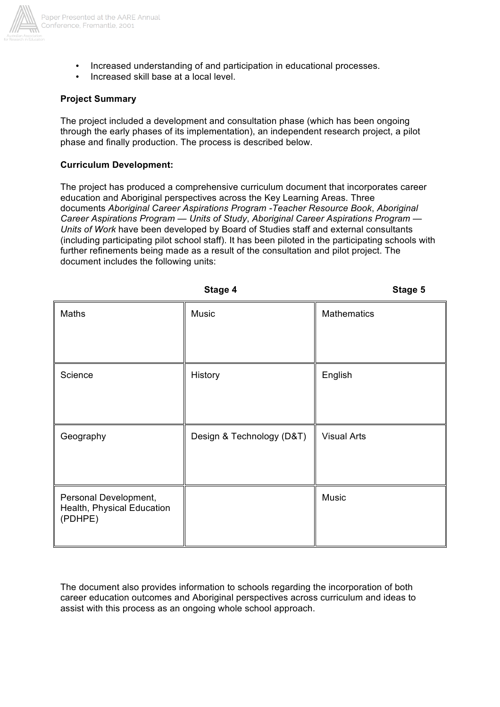

- Increased understanding of and participation in educational processes.
- Increased skill base at a local level.

## **Project Summary**

The project included a development and consultation phase (which has been ongoing through the early phases of its implementation), an independent research project, a pilot phase and finally production. The process is described below.

### **Curriculum Development:**

The project has produced a comprehensive curriculum document that incorporates career education and Aboriginal perspectives across the Key Learning Areas. Three documents *Aboriginal Career Aspirations Program -Teacher Resource Book*, *Aboriginal Career Aspirations Program — Units of Study*, *Aboriginal Career Aspirations Program — Units of Work* have been developed by Board of Studies staff and external consultants (including participating pilot school staff). It has been piloted in the participating schools with further refinements being made as a result of the consultation and pilot project. The document includes the following units:

|                                                                | Stage 5                   |                    |
|----------------------------------------------------------------|---------------------------|--------------------|
| Maths                                                          | Music                     | Mathematics        |
|                                                                |                           |                    |
| Science                                                        | History                   | English            |
|                                                                |                           |                    |
| Geography                                                      | Design & Technology (D&T) | <b>Visual Arts</b> |
|                                                                |                           |                    |
| Personal Development,<br>Health, Physical Education<br>(PDHPE) |                           | Music              |
|                                                                |                           |                    |

The document also provides information to schools regarding the incorporation of both career education outcomes and Aboriginal perspectives across curriculum and ideas to assist with this process as an ongoing whole school approach.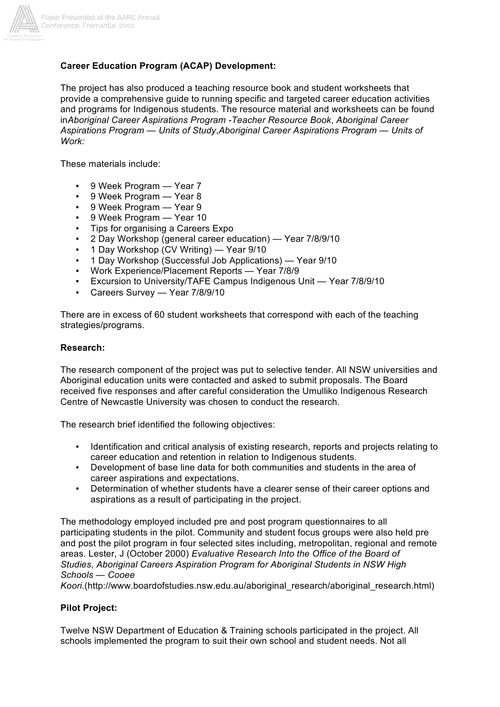

# **Career Education Program (ACAP) Development:**

The project has also produced a teaching resource book and student worksheets that provide a comprehensive guide to running specific and targeted career education activities and programs for Indigenous students. The resource material and worksheets can be found in*Aboriginal Career Aspirations Program -Teacher Resource Book*, *Aboriginal Career Aspirations Program — Units of Study*,*Aboriginal Career Aspirations Program — Units of Work:*

These materials include:

- 9 Week Program Year 7
- 9 Week Program Year 8
- 9 Week Program Year 9
- 9 Week Program Year 10
- Tips for organising a Careers Expo
- 2 Day Workshop (general career education) Year 7/8/9/10
- 1 Day Workshop (CV Writing) Year 9/10
- 1 Day Workshop (Successful Job Applications) Year 9/10
- Work Experience/Placement Reports Year 7/8/9
- Excursion to University/TAFE Campus Indigenous Unit Year 7/8/9/10
- Careers Survey Year 7/8/9/10

There are in excess of 60 student worksheets that correspond with each of the teaching strategies/programs.

#### **Research:**

The research component of the project was put to selective tender. All NSW universities and Aboriginal education units were contacted and asked to submit proposals. The Board received five responses and after careful consideration the Umulliko Indigenous Research Centre of Newcastle University was chosen to conduct the research.

The research brief identified the following objectives:

- Identification and critical analysis of existing research, reports and projects relating to career education and retention in relation to Indigenous students.
- Development of base line data for both communities and students in the area of career aspirations and expectations.
- Determination of whether students have a clearer sense of their career options and aspirations as a result of participating in the project.

The methodology employed included pre and post program questionnaires to all participating students in the pilot. Community and student focus groups were also held pre and post the pilot program in four selected sites including, metropolitan, regional and remote areas. Lester, J (October 2000) *Evaluative Research Into the Office of the Board of Studies*, *Aboriginal Careers Aspiration Program for Aboriginal Students in NSW High Schools — Cooee* 

*Koori.*(http://www.boardofstudies.nsw.edu.au/aboriginal\_research/aboriginal\_research.html)

#### **Pilot Project:**

Twelve NSW Department of Education & Training schools participated in the project. All schools implemented the program to suit their own school and student needs. Not all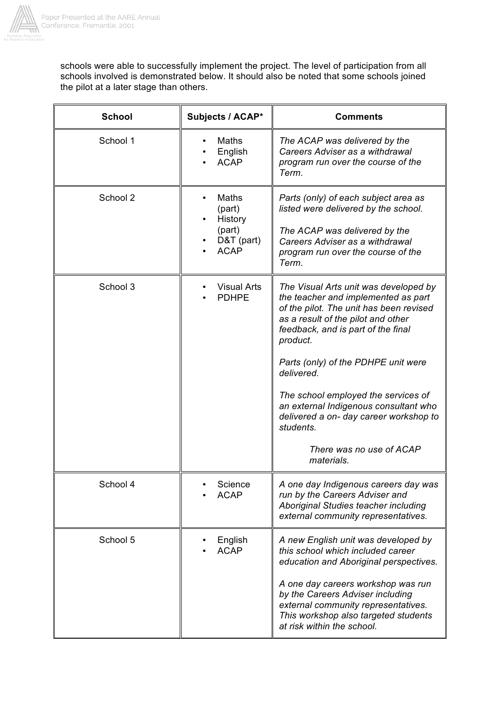

schools were able to successfully implement the project. The level of participation from all schools involved is demonstrated below. It should also be noted that some schools joined the pilot at a later stage than others.

| <b>School</b> | Subjects / ACAP*                                                  | <b>Comments</b>                                                                                                                                                                                                                                                                                                                                                                                                                                       |
|---------------|-------------------------------------------------------------------|-------------------------------------------------------------------------------------------------------------------------------------------------------------------------------------------------------------------------------------------------------------------------------------------------------------------------------------------------------------------------------------------------------------------------------------------------------|
| School 1      | Maths<br>English<br><b>ACAP</b>                                   | The ACAP was delivered by the<br>Careers Adviser as a withdrawal<br>program run over the course of the<br>Term.                                                                                                                                                                                                                                                                                                                                       |
| School 2      | Maths<br>(part)<br>History<br>(part)<br>D&T (part)<br><b>ACAP</b> | Parts (only) of each subject area as<br>listed were delivered by the school.<br>The ACAP was delivered by the<br>Careers Adviser as a withdrawal<br>program run over the course of the<br>Term.                                                                                                                                                                                                                                                       |
| School 3      | <b>Visual Arts</b><br><b>PDHPE</b>                                | The Visual Arts unit was developed by<br>the teacher and implemented as part<br>of the pilot. The unit has been revised<br>as a result of the pilot and other<br>feedback, and is part of the final<br>product.<br>Parts (only) of the PDHPE unit were<br>delivered.<br>The school employed the services of<br>an external Indigenous consultant who<br>delivered a on- day career workshop to<br>students.<br>There was no use of ACAP<br>materials. |
| School 4      | Science<br><b>ACAP</b>                                            | A one day Indigenous careers day was<br>run by the Careers Adviser and<br>Aboriginal Studies teacher including<br>external community representatives.                                                                                                                                                                                                                                                                                                 |
| School 5      | English<br><b>ACAP</b>                                            | A new English unit was developed by<br>this school which included career<br>education and Aboriginal perspectives.<br>A one day careers workshop was run<br>by the Careers Adviser including<br>external community representatives.<br>This workshop also targeted students<br>at risk within the school.                                                                                                                                             |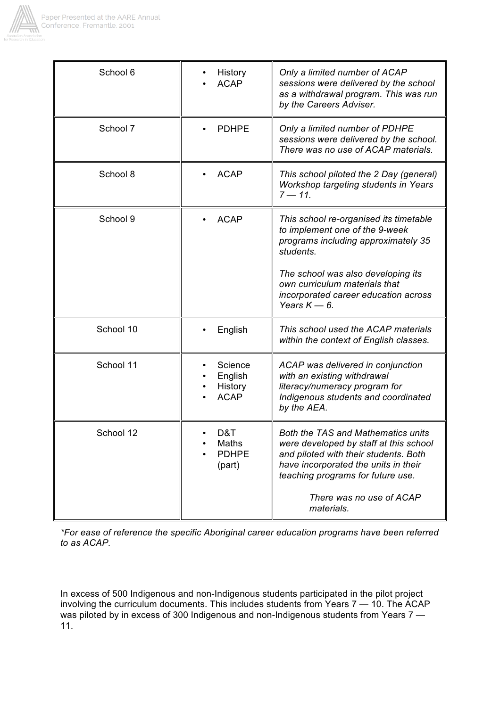

| School 6  | History<br><b>ACAP</b>                       | Only a limited number of ACAP<br>sessions were delivered by the school<br>as a withdrawal program. This was run<br>by the Careers Adviser.                                                                                                                    |
|-----------|----------------------------------------------|---------------------------------------------------------------------------------------------------------------------------------------------------------------------------------------------------------------------------------------------------------------|
| School 7  | <b>PDHPE</b>                                 | Only a limited number of PDHPE<br>sessions were delivered by the school.<br>There was no use of ACAP materials.                                                                                                                                               |
| School 8  | <b>ACAP</b><br>$\bullet$                     | This school piloted the 2 Day (general)<br>Workshop targeting students in Years<br>$7 - 11.$                                                                                                                                                                  |
| School 9  | <b>ACAP</b>                                  | This school re-organised its timetable<br>to implement one of the 9-week<br>programs including approximately 35<br>students.<br>The school was also developing its<br>own curriculum materials that<br>incorporated career education across<br>Years $K$ - 6. |
| School 10 | English                                      | This school used the ACAP materials<br>within the context of English classes.                                                                                                                                                                                 |
| School 11 | Science<br>English<br>History<br><b>ACAP</b> | ACAP was delivered in conjunction<br>with an existing withdrawal<br>literacy/numeracy program for<br>Indigenous students and coordinated<br>by the AEA.                                                                                                       |
| School 12 | D&T<br>Maths<br><b>PDHPE</b><br>(part)       | <b>Both the TAS and Mathematics units</b><br>were developed by staff at this school<br>and piloted with their students. Both<br>have incorporated the units in their<br>teaching programs for future use.<br>There was no use of ACAP<br>materials.           |

*\*For ease of reference the specific Aboriginal career education programs have been referred to as ACAP.*

In excess of 500 Indigenous and non-Indigenous students participated in the pilot project involving the curriculum documents. This includes students from Years 7 — 10. The ACAP was piloted by in excess of 300 Indigenous and non-Indigenous students from Years 7 — 11.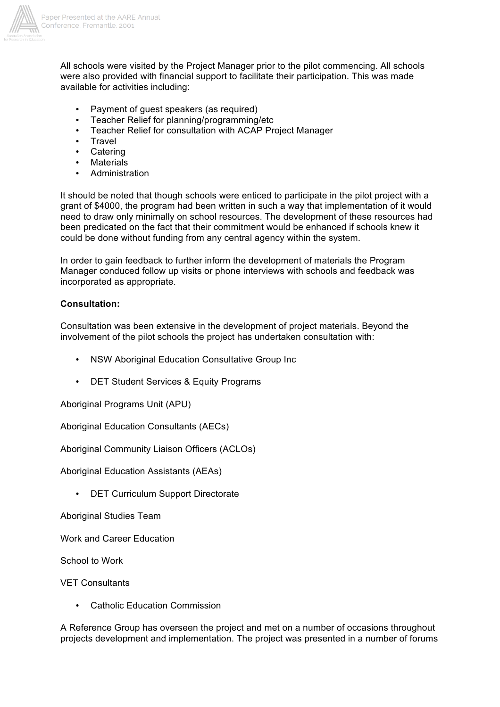

All schools were visited by the Project Manager prior to the pilot commencing. All schools were also provided with financial support to facilitate their participation. This was made available for activities including:

- Payment of guest speakers (as required)
- Teacher Relief for planning/programming/etc
- Teacher Relief for consultation with ACAP Project Manager
- Travel
- Catering
- **Materials**
- **Administration**

It should be noted that though schools were enticed to participate in the pilot project with a grant of \$4000, the program had been written in such a way that implementation of it would need to draw only minimally on school resources. The development of these resources had been predicated on the fact that their commitment would be enhanced if schools knew it could be done without funding from any central agency within the system.

In order to gain feedback to further inform the development of materials the Program Manager conduced follow up visits or phone interviews with schools and feedback was incorporated as appropriate.

# **Consultation:**

Consultation was been extensive in the development of project materials. Beyond the involvement of the pilot schools the project has undertaken consultation with:

- NSW Aboriginal Education Consultative Group Inc
- DET Student Services & Equity Programs

Aboriginal Programs Unit (APU)

Aboriginal Education Consultants (AECs)

Aboriginal Community Liaison Officers (ACLOs)

Aboriginal Education Assistants (AEAs)

• DET Curriculum Support Directorate

Aboriginal Studies Team

Work and Career Education

School to Work

VET Consultants

**Catholic Education Commission** 

A Reference Group has overseen the project and met on a number of occasions throughout projects development and implementation. The project was presented in a number of forums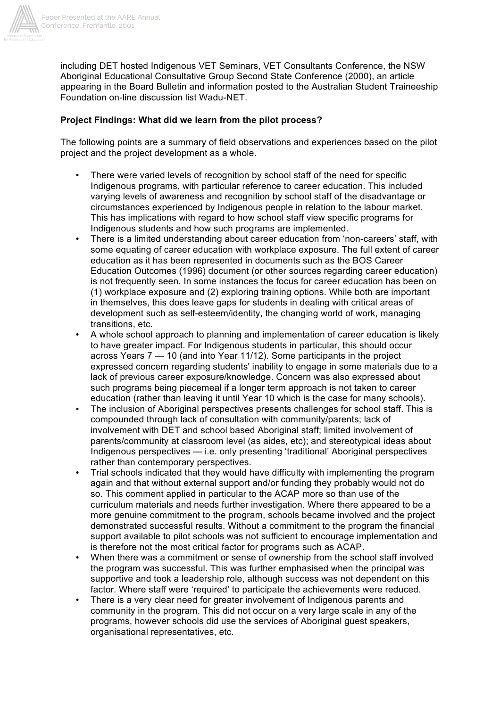

including DET hosted Indigenous VET Seminars, VET Consultants Conference, the NSW Aboriginal Educational Consultative Group Second State Conference (2000), an article appearing in the Board Bulletin and information posted to the Australian Student Traineeship Foundation on-line discussion list Wadu-NET.

## **Project Findings: What did we learn from the pilot process?**

The following points are a summary of field observations and experiences based on the pilot project and the project development as a whole.

- There were varied levels of recognition by school staff of the need for specific Indigenous programs, with particular reference to career education. This included varying levels of awareness and recognition by school staff of the disadvantage or circumstances experienced by Indigenous people in relation to the labour market. This has implications with regard to how school staff view specific programs for Indigenous students and how such programs are implemented.
- There is a limited understanding about career education from 'non-careers' staff, with some equating of career education with workplace exposure. The full extent of career education as it has been represented in documents such as the BOS Career Education Outcomes (1996) document (or other sources regarding career education) is not frequently seen. In some instances the focus for career education has been on (1) workplace exposure and (2) exploring training options. While both are important in themselves, this does leave gaps for students in dealing with critical areas of development such as self-esteem/identity, the changing world of work, managing transitions, etc.
- A whole school approach to planning and implementation of career education is likely to have greater impact. For Indigenous students in particular, this should occur across Years 7 — 10 (and into Year 11/12). Some participants in the project expressed concern regarding students' inability to engage in some materials due to a lack of previous career exposure/knowledge. Concern was also expressed about such programs being piecemeal if a longer term approach is not taken to career education (rather than leaving it until Year 10 which is the case for many schools).
- The inclusion of Aboriginal perspectives presents challenges for school staff. This is compounded through lack of consultation with community/parents; lack of involvement with DET and school based Aboriginal staff; limited involvement of parents/community at classroom level (as aides, etc); and stereotypical ideas about Indigenous perspectives — i.e. only presenting 'traditional' Aboriginal perspectives rather than contemporary perspectives.
- Trial schools indicated that they would have difficulty with implementing the program again and that without external support and/or funding they probably would not do so. This comment applied in particular to the ACAP more so than use of the curriculum materials and needs further investigation. Where there appeared to be a more genuine commitment to the program, schools became involved and the project demonstrated successful results. Without a commitment to the program the financial support available to pilot schools was not sufficient to encourage implementation and is therefore not the most critical factor for programs such as ACAP.
- When there was a commitment or sense of ownership from the school staff involved the program was successful. This was further emphasised when the principal was supportive and took a leadership role, although success was not dependent on this factor. Where staff were 'required' to participate the achievements were reduced.
- There is a very clear need for greater involvement of Indigenous parents and community in the program. This did not occur on a very large scale in any of the programs, however schools did use the services of Aboriginal guest speakers, organisational representatives, etc.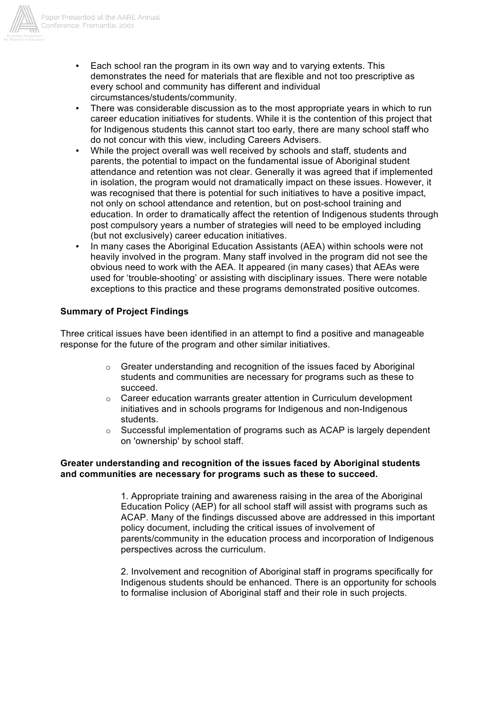

- Each school ran the program in its own way and to varying extents. This demonstrates the need for materials that are flexible and not too prescriptive as every school and community has different and individual circumstances/students/community.
- There was considerable discussion as to the most appropriate years in which to run career education initiatives for students. While it is the contention of this project that for Indigenous students this cannot start too early, there are many school staff who do not concur with this view, including Careers Advisers.
- While the project overall was well received by schools and staff, students and parents, the potential to impact on the fundamental issue of Aboriginal student attendance and retention was not clear. Generally it was agreed that if implemented in isolation, the program would not dramatically impact on these issues. However, it was recognised that there is potential for such initiatives to have a positive impact, not only on school attendance and retention, but on post-school training and education. In order to dramatically affect the retention of Indigenous students through post compulsory years a number of strategies will need to be employed including (but not exclusively) career education initiatives.
- In many cases the Aboriginal Education Assistants (AEA) within schools were not heavily involved in the program. Many staff involved in the program did not see the obvious need to work with the AEA. It appeared (in many cases) that AEAs were used for 'trouble-shooting' or assisting with disciplinary issues. There were notable exceptions to this practice and these programs demonstrated positive outcomes.

# **Summary of Project Findings**

Three critical issues have been identified in an attempt to find a positive and manageable response for the future of the program and other similar initiatives.

- $\circ$  Greater understanding and recognition of the issues faced by Aboriginal students and communities are necessary for programs such as these to succeed.
- $\circ$  Career education warrants greater attention in Curriculum development initiatives and in schools programs for Indigenous and non-Indigenous students.
- $\circ$  Successful implementation of programs such as ACAP is largely dependent on 'ownership' by school staff.

### **Greater understanding and recognition of the issues faced by Aboriginal students and communities are necessary for programs such as these to succeed.**

1. Appropriate training and awareness raising in the area of the Aboriginal Education Policy (AEP) for all school staff will assist with programs such as ACAP. Many of the findings discussed above are addressed in this important policy document, including the critical issues of involvement of parents/community in the education process and incorporation of Indigenous perspectives across the curriculum.

2. Involvement and recognition of Aboriginal staff in programs specifically for Indigenous students should be enhanced. There is an opportunity for schools to formalise inclusion of Aboriginal staff and their role in such projects.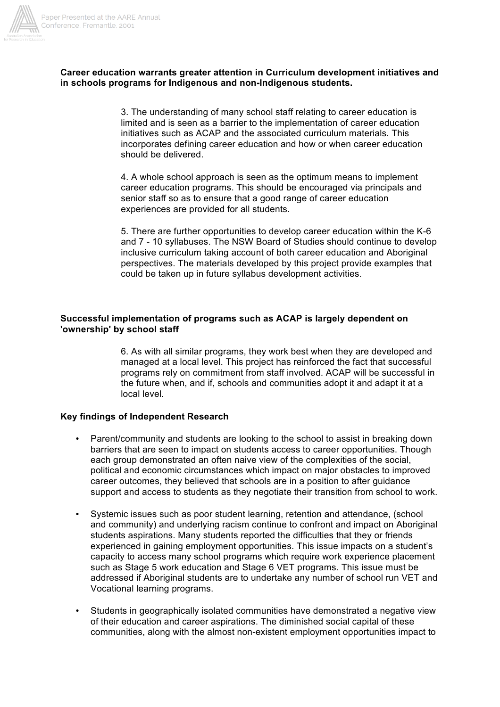

### **Career education warrants greater attention in Curriculum development initiatives and in schools programs for Indigenous and non-Indigenous students.**

3. The understanding of many school staff relating to career education is limited and is seen as a barrier to the implementation of career education initiatives such as ACAP and the associated curriculum materials. This incorporates defining career education and how or when career education should be delivered.

4. A whole school approach is seen as the optimum means to implement career education programs. This should be encouraged via principals and senior staff so as to ensure that a good range of career education experiences are provided for all students.

5. There are further opportunities to develop career education within the K-6 and 7 - 10 syllabuses. The NSW Board of Studies should continue to develop inclusive curriculum taking account of both career education and Aboriginal perspectives. The materials developed by this project provide examples that could be taken up in future syllabus development activities.

### **Successful implementation of programs such as ACAP is largely dependent on 'ownership' by school staff**

6. As with all similar programs, they work best when they are developed and managed at a local level. This project has reinforced the fact that successful programs rely on commitment from staff involved. ACAP will be successful in the future when, and if, schools and communities adopt it and adapt it at a local level.

#### **Key findings of Independent Research**

- Parent/community and students are looking to the school to assist in breaking down barriers that are seen to impact on students access to career opportunities. Though each group demonstrated an often naive view of the complexities of the social, political and economic circumstances which impact on major obstacles to improved career outcomes, they believed that schools are in a position to after guidance support and access to students as they negotiate their transition from school to work.
- Systemic issues such as poor student learning, retention and attendance, (school and community) and underlying racism continue to confront and impact on Aboriginal students aspirations. Many students reported the difficulties that they or friends experienced in gaining employment opportunities. This issue impacts on a student's capacity to access many school programs which require work experience placement such as Stage 5 work education and Stage 6 VET programs. This issue must be addressed if Aboriginal students are to undertake any number of school run VET and Vocational learning programs.
- Students in geographically isolated communities have demonstrated a negative view of their education and career aspirations. The diminished social capital of these communities, along with the almost non-existent employment opportunities impact to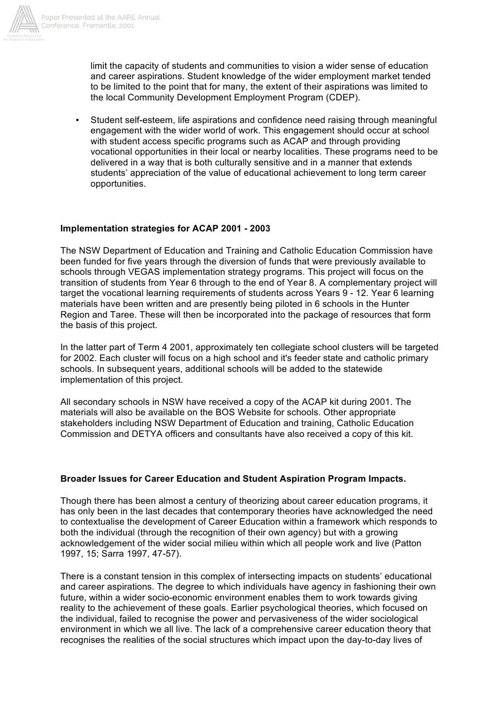

limit the capacity of students and communities to vision a wider sense of education and career aspirations. Student knowledge of the wider employment market tended to be limited to the point that for many, the extent of their aspirations was limited to the local Community Development Employment Program (CDEP).

• Student self-esteem, life aspirations and confidence need raising through meaningful engagement with the wider world of work. This engagement should occur at school with student access specific programs such as ACAP and through providing vocational opportunities in their local or nearby localities. These programs need to be delivered in a way that is both culturally sensitive and in a manner that extends students' appreciation of the value of educational achievement to long term career opportunities.

# **Implementation strategies for ACAP 2001 - 2003**

The NSW Department of Education and Training and Catholic Education Commission have been funded for five years through the diversion of funds that were previously available to schools through VEGAS implementation strategy programs. This project will focus on the transition of students from Year 6 through to the end of Year 8. A complementary project will target the vocational learning requirements of students across Years 9 - 12. Year 6 learning materials have been written and are presently being piloted in 6 schools in the Hunter Region and Taree. These will then be incorporated into the package of resources that form the basis of this project.

In the latter part of Term 4 2001, approximately ten collegiate school clusters will be targeted for 2002. Each cluster will focus on a high school and it's feeder state and catholic primary schools. In subsequent years, additional schools will be added to the statewide implementation of this project.

All secondary schools in NSW have received a copy of the ACAP kit during 2001. The materials will also be available on the BOS Website for schools. Other appropriate stakeholders including NSW Department of Education and training, Catholic Education Commission and DETYA officers and consultants have also received a copy of this kit.

### **Broader Issues for Career Education and Student Aspiration Program Impacts.**

Though there has been almost a century of theorizing about career education programs, it has only been in the last decades that contemporary theories have acknowledged the need to contextualise the development of Career Education within a framework which responds to both the individual (through the recognition of their own agency) but with a growing acknowledgement of the wider social milieu within which all people work and live (Patton 1997, 15; Sarra 1997, 47-57).

There is a constant tension in this complex of intersecting impacts on students' educational and career aspirations. The degree to which individuals have agency in fashioning their own future, within a wider socio-economic environment enables them to work towards giving reality to the achievement of these goals. Earlier psychological theories, which focused on the individual, failed to recognise the power and pervasiveness of the wider sociological environment in which we all live. The lack of a comprehensive career education theory that recognises the realities of the social structures which impact upon the day-to-day lives of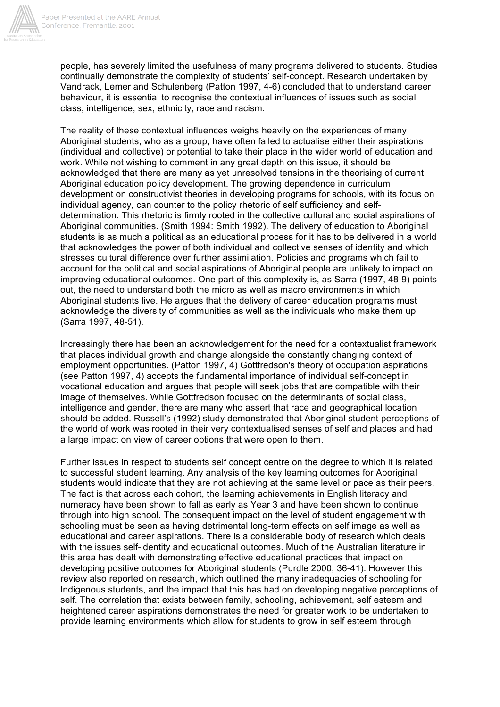

people, has severely limited the usefulness of many programs delivered to students. Studies continually demonstrate the complexity of students' self-concept. Research undertaken by Vandrack, Lemer and Schulenberg (Patton 1997, 4-6) concluded that to understand career behaviour, it is essential to recognise the contextual influences of issues such as social class, intelligence, sex, ethnicity, race and racism.

The reality of these contextual influences weighs heavily on the experiences of many Aboriginal students, who as a group, have often failed to actualise either their aspirations (individual and collective) or potential to take their place in the wider world of education and work. While not wishing to comment in any great depth on this issue, it should be acknowledged that there are many as yet unresolved tensions in the theorising of current Aboriginal education policy development. The growing dependence in curriculum development on constructivist theories in developing programs for schools, with its focus on individual agency, can counter to the policy rhetoric of self sufficiency and selfdetermination. This rhetoric is firmly rooted in the collective cultural and social aspirations of Aboriginal communities. (Smith 1994: Smith 1992). The delivery of education to Aboriginal students is as much a political as an educational process for it has to be delivered in a world that acknowledges the power of both individual and collective senses of identity and which stresses cultural difference over further assimilation. Policies and programs which fail to account for the political and social aspirations of Aboriginal people are unlikely to impact on improving educational outcomes. One part of this complexity is, as Sarra (1997, 48-9) points out, the need to understand both the micro as well as macro environments in which Aboriginal students live. He argues that the delivery of career education programs must acknowledge the diversity of communities as well as the individuals who make them up (Sarra 1997, 48-51).

Increasingly there has been an acknowledgement for the need for a contextualist framework that places individual growth and change alongside the constantly changing context of employment opportunities. (Patton 1997, 4) Gottfredson's theory of occupation aspirations (see Patton 1997, 4) accepts the fundamental importance of individual self-concept in vocational education and argues that people will seek jobs that are compatible with their image of themselves. While Gottfredson focused on the determinants of social class, intelligence and gender, there are many who assert that race and geographical location should be added. Russell's (1992) study demonstrated that Aboriginal student perceptions of the world of work was rooted in their very contextualised senses of self and places and had a large impact on view of career options that were open to them.

Further issues in respect to students self concept centre on the degree to which it is related to successful student learning. Any analysis of the key learning outcomes for Aboriginal students would indicate that they are not achieving at the same level or pace as their peers. The fact is that across each cohort, the learning achievements in English literacy and numeracy have been shown to fall as early as Year 3 and have been shown to continue through into high school. The consequent impact on the level of student engagement with schooling must be seen as having detrimental long-term effects on self image as well as educational and career aspirations. There is a considerable body of research which deals with the issues self-identity and educational outcomes. Much of the Australian literature in this area has dealt with demonstrating effective educational practices that impact on developing positive outcomes for Aboriginal students (Purdle 2000, 36-41). However this review also reported on research, which outlined the many inadequacies of schooling for Indigenous students, and the impact that this has had on developing negative perceptions of self. The correlation that exists between family, schooling, achievement, self esteem and heightened career aspirations demonstrates the need for greater work to be undertaken to provide learning environments which allow for students to grow in self esteem through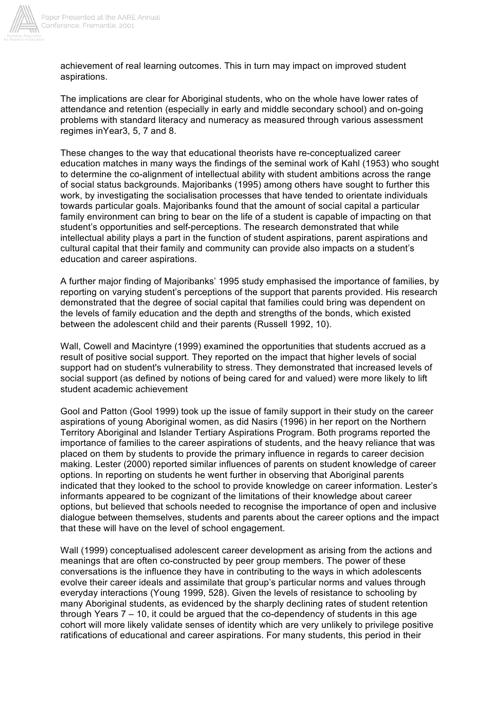

achievement of real learning outcomes. This in turn may impact on improved student aspirations.

The implications are clear for Aboriginal students, who on the whole have lower rates of attendance and retention (especially in early and middle secondary school) and on-going problems with standard literacy and numeracy as measured through various assessment regimes inYear3, 5, 7 and 8.

These changes to the way that educational theorists have re-conceptualized career education matches in many ways the findings of the seminal work of Kahl (1953) who sought to determine the co-alignment of intellectual ability with student ambitions across the range of social status backgrounds. Majoribanks (1995) among others have sought to further this work, by investigating the socialisation processes that have tended to orientate individuals towards particular goals. Majoribanks found that the amount of social capital a particular family environment can bring to bear on the life of a student is capable of impacting on that student's opportunities and self-perceptions. The research demonstrated that while intellectual ability plays a part in the function of student aspirations, parent aspirations and cultural capital that their family and community can provide also impacts on a student's education and career aspirations.

A further major finding of Majoribanks' 1995 study emphasised the importance of families, by reporting on varying student's perceptions of the support that parents provided. His research demonstrated that the degree of social capital that families could bring was dependent on the levels of family education and the depth and strengths of the bonds, which existed between the adolescent child and their parents (Russell 1992, 10).

Wall, Cowell and Macintyre (1999) examined the opportunities that students accrued as a result of positive social support. They reported on the impact that higher levels of social support had on student's vulnerability to stress. They demonstrated that increased levels of social support (as defined by notions of being cared for and valued) were more likely to lift student academic achievement

Gool and Patton (Gool 1999) took up the issue of family support in their study on the career aspirations of young Aboriginal women, as did Nasirs (1996) in her report on the Northern Territory Aboriginal and Islander Tertiary Aspirations Program. Both programs reported the importance of families to the career aspirations of students, and the heavy reliance that was placed on them by students to provide the primary influence in regards to career decision making. Lester (2000) reported similar influences of parents on student knowledge of career options. In reporting on students he went further in observing that Aboriginal parents indicated that they looked to the school to provide knowledge on career information. Lester's informants appeared to be cognizant of the limitations of their knowledge about career options, but believed that schools needed to recognise the importance of open and inclusive dialogue between themselves, students and parents about the career options and the impact that these will have on the level of school engagement.

Wall (1999) conceptualised adolescent career development as arising from the actions and meanings that are often co-constructed by peer group members. The power of these conversations is the influence they have in contributing to the ways in which adolescents evolve their career ideals and assimilate that group's particular norms and values through everyday interactions (Young 1999, 528). Given the levels of resistance to schooling by many Aboriginal students, as evidenced by the sharply declining rates of student retention through Years 7 – 10, it could be argued that the co-dependency of students in this age cohort will more likely validate senses of identity which are very unlikely to privilege positive ratifications of educational and career aspirations. For many students, this period in their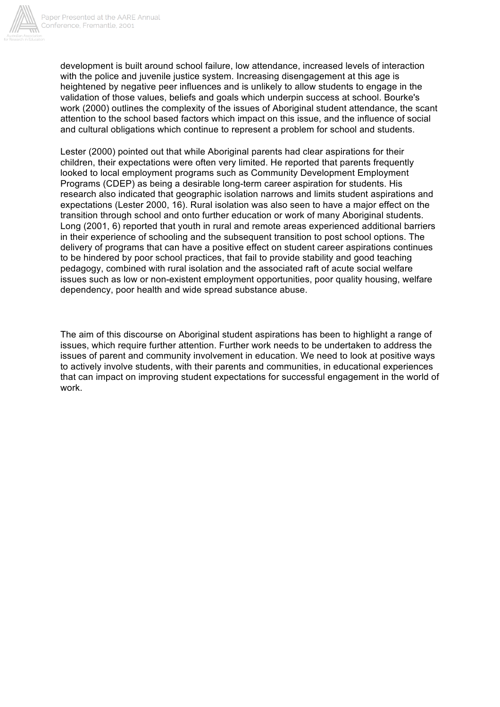

development is built around school failure, low attendance, increased levels of interaction with the police and juvenile justice system. Increasing disengagement at this age is heightened by negative peer influences and is unlikely to allow students to engage in the validation of those values, beliefs and goals which underpin success at school. Bourke's work (2000) outlines the complexity of the issues of Aboriginal student attendance, the scant attention to the school based factors which impact on this issue, and the influence of social and cultural obligations which continue to represent a problem for school and students.

Lester (2000) pointed out that while Aboriginal parents had clear aspirations for their children, their expectations were often very limited. He reported that parents frequently looked to local employment programs such as Community Development Employment Programs (CDEP) as being a desirable long-term career aspiration for students. His research also indicated that geographic isolation narrows and limits student aspirations and expectations (Lester 2000, 16). Rural isolation was also seen to have a major effect on the transition through school and onto further education or work of many Aboriginal students. Long (2001, 6) reported that youth in rural and remote areas experienced additional barriers in their experience of schooling and the subsequent transition to post school options. The delivery of programs that can have a positive effect on student career aspirations continues to be hindered by poor school practices, that fail to provide stability and good teaching pedagogy, combined with rural isolation and the associated raft of acute social welfare issues such as low or non-existent employment opportunities, poor quality housing, welfare dependency, poor health and wide spread substance abuse.

The aim of this discourse on Aboriginal student aspirations has been to highlight a range of issues, which require further attention. Further work needs to be undertaken to address the issues of parent and community involvement in education. We need to look at positive ways to actively involve students, with their parents and communities, in educational experiences that can impact on improving student expectations for successful engagement in the world of work.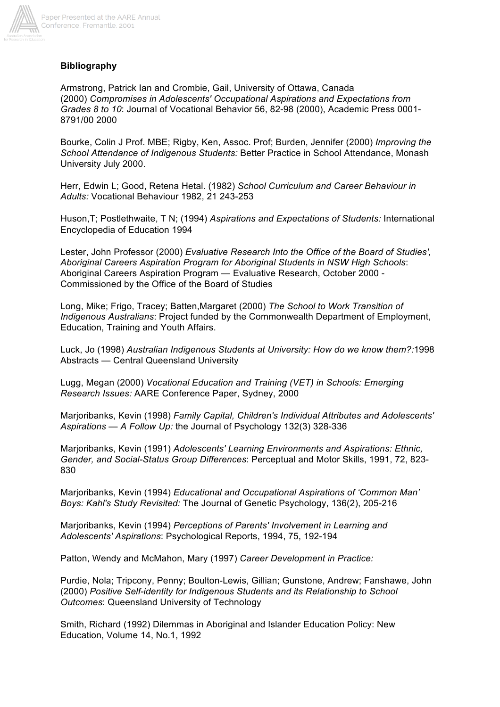

## **Bibliography**

Armstrong, Patrick Ian and Crombie, Gail, University of Ottawa, Canada (2000) *Compromises in Adolescents' Occupational Aspirations and Expectations from Grades 8 to 10*: Journal of Vocational Behavior 56, 82-98 (2000), Academic Press 0001- 8791/00 2000

Bourke, Colin J Prof. MBE; Rigby, Ken, Assoc. Prof; Burden, Jennifer (2000) *Improving the School Attendance of Indigenous Students:* Better Practice in School Attendance, Monash University July 2000.

Herr, Edwin L; Good, Retena Hetal. (1982) *School Curriculum and Career Behaviour in Adults:* Vocational Behaviour 1982, 21 243-253

Huson,T; Postlethwaite, T N; (1994) *Aspirations and Expectations of Students:* International Encyclopedia of Education 1994

Lester, John Professor (2000) *Evaluative Research Into the Office of the Board of Studies', Aboriginal Careers Aspiration Program for Aboriginal Students in NSW High Schools*: Aboriginal Careers Aspiration Program — Evaluative Research, October 2000 - Commissioned by the Office of the Board of Studies

Long, Mike; Frigo, Tracey; Batten,Margaret (2000) *The School to Work Transition of Indigenous Australians*: Project funded by the Commonwealth Department of Employment, Education, Training and Youth Affairs.

Luck, Jo (1998) *Australian Indigenous Students at University: How do we know them?:*1998 Abstracts — Central Queensland University

Lugg, Megan (2000) *Vocational Education and Training (VET) in Schools: Emerging Research Issues:* AARE Conference Paper, Sydney, 2000

Marjoribanks, Kevin (1998) *Family Capital, Children's Individual Attributes and Adolescents' Aspirations — A Follow Up:* the Journal of Psychology 132(3) 328-336

Marjoribanks, Kevin (1991) *Adolescents' Learning Environments and Aspirations: Ethnic, Gender, and Social-Status Group Differences*: Perceptual and Motor Skills, 1991, 72, 823- 830

Marjoribanks, Kevin (1994) *Educational and Occupational Aspirations of 'Common Man' Boys: Kahl's Study Revisited:* The Journal of Genetic Psychology, 136(2), 205-216

Marjoribanks, Kevin (1994) *Perceptions of Parents' Involvement in Learning and Adolescents' Aspirations*: Psychological Reports, 1994, 75, 192-194

Patton, Wendy and McMahon, Mary (1997) *Career Development in Practice:*

Purdie, Nola; Tripcony, Penny; Boulton-Lewis, Gillian; Gunstone, Andrew; Fanshawe, John (2000) *Positive Self-identity for Indigenous Students and its Relationship to School Outcomes*: Queensland University of Technology

Smith, Richard (1992) Dilemmas in Aboriginal and Islander Education Policy: New Education, Volume 14, No.1, 1992